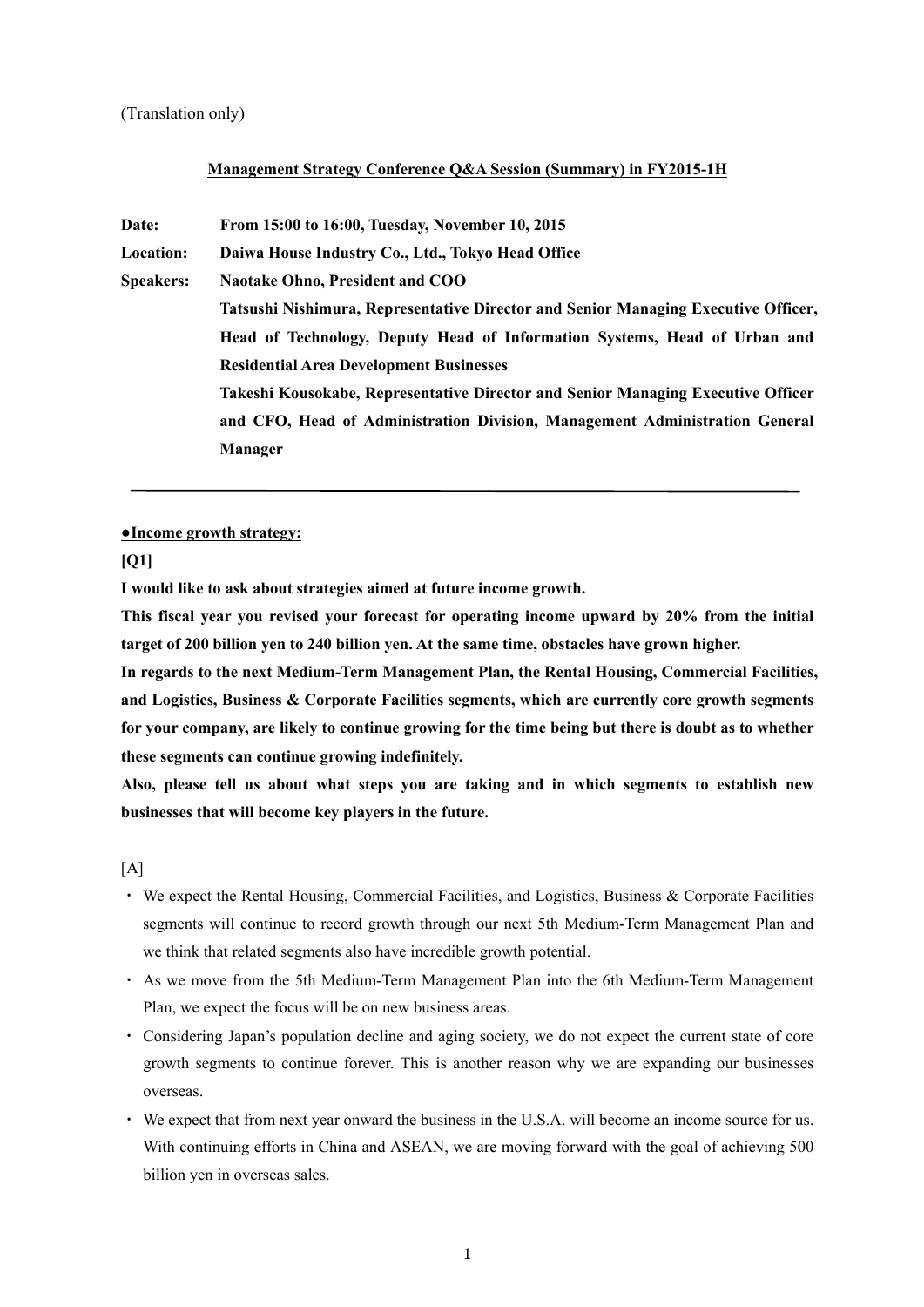#### (Translation only)

#### **Management Strategy Conference Q&A Session (Summary) in FY2015-1H**

**Date: From 15:00 to 16:00, Tuesday, November 10, 2015 Location: Daiwa House Industry Co., Ltd., Tokyo Head Office Speakers: Naotake Ohno, President and COO Tatsushi Nishimura, Representative Director and Senior Managing Executive Officer, Head of Technology, Deputy Head of Information Systems, Head of Urban and Residential Area Development Businesses Takeshi Kousokabe, Representative Director and Senior Managing Executive Officer and CFO, Head of Administration Division, Management Administration General Manager**

#### **●Income growth strategy:**

**[Q1]** 

**I would like to ask about strategies aimed at future income growth.** 

**This fiscal year you revised your forecast for operating income upward by 20% from the initial target of 200 billion yen to 240 billion yen. At the same time, obstacles have grown higher.** 

**In regards to the next Medium-Term Management Plan, the Rental Housing, Commercial Facilities, and Logistics, Business & Corporate Facilities segments, which are currently core growth segments for your company, are likely to continue growing for the time being but there is doubt as to whether these segments can continue growing indefinitely.** 

**Also, please tell us about what steps you are taking and in which segments to establish new businesses that will become key players in the future.** 

 $[A]$ 

- ・ We expect the Rental Housing, Commercial Facilities, and Logistics, Business & Corporate Facilities segments will continue to record growth through our next 5th Medium-Term Management Plan and we think that related segments also have incredible growth potential.
- ・ As we move from the 5th Medium-Term Management Plan into the 6th Medium-Term Management Plan, we expect the focus will be on new business areas.
- ・ Considering Japan's population decline and aging society, we do not expect the current state of core growth segments to continue forever. This is another reason why we are expanding our businesses overseas.
- ・ We expect that from next year onward the business in the U.S.A. will become an income source for us. With continuing efforts in China and ASEAN, we are moving forward with the goal of achieving 500 billion yen in overseas sales.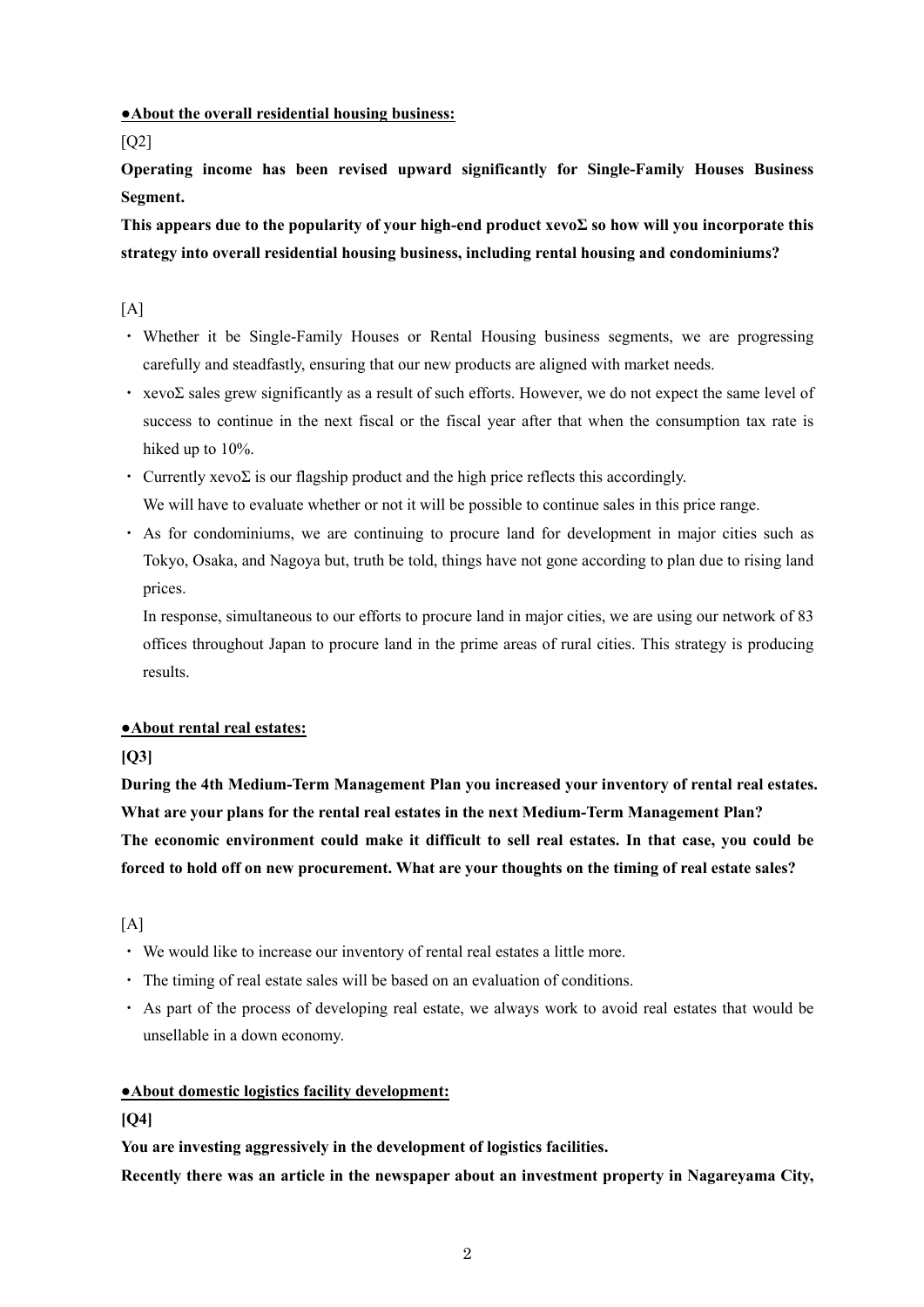### **●About the overall residential housing business:**

[Q2]

**Operating income has been revised upward significantly for Single-Family Houses Business Segment.** 

**This appears due to the popularity of your high-end product xevoΣ so how will you incorporate this strategy into overall residential housing business, including rental housing and condominiums?** 

 $[A]$ 

- ・ Whether it be Single-Family Houses or Rental Housing business segments, we are progressing carefully and steadfastly, ensuring that our new products are aligned with market needs.
- xevoΣ sales grew significantly as a result of such efforts. However, we do not expect the same level of success to continue in the next fiscal or the fiscal year after that when the consumption tax rate is hiked up to  $10\%$ .
- Currently xevoΣ is our flagship product and the high price reflects this accordingly. We will have to evaluate whether or not it will be possible to continue sales in this price range.
- ・ As for condominiums, we are continuing to procure land for development in major cities such as Tokyo, Osaka, and Nagoya but, truth be told, things have not gone according to plan due to rising land prices.

In response, simultaneous to our efforts to procure land in major cities, we are using our network of 83 offices throughout Japan to procure land in the prime areas of rural cities. This strategy is producing results.

## **●About rental real estates:**

## **[Q3]**

**During the 4th Medium-Term Management Plan you increased your inventory of rental real estates. What are your plans for the rental real estates in the next Medium-Term Management Plan? The economic environment could make it difficult to sell real estates. In that case, you could be forced to hold off on new procurement. What are your thoughts on the timing of real estate sales?** 

 $[A]$ 

- ・ We would like to increase our inventory of rental real estates a little more.
- ・ The timing of real estate sales will be based on an evaluation of conditions.
- ・ As part of the process of developing real estate, we always work to avoid real estates that would be unsellable in a down economy.

## **●About domestic logistics facility development:**

## **[Q4]**

**You are investing aggressively in the development of logistics facilities.** 

**Recently there was an article in the newspaper about an investment property in Nagareyama City,**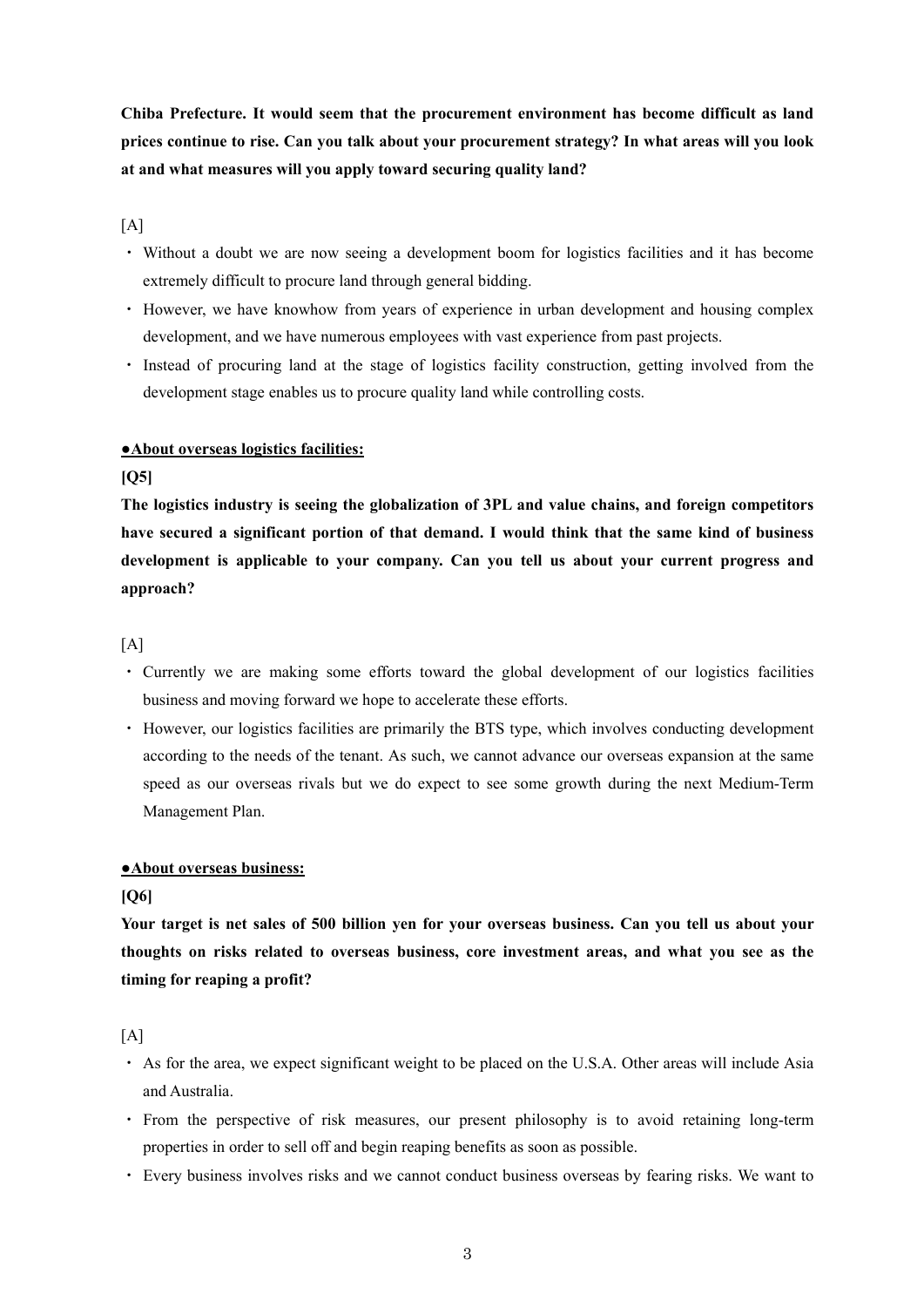**Chiba Prefecture. It would seem that the procurement environment has become difficult as land prices continue to rise. Can you talk about your procurement strategy? In what areas will you look at and what measures will you apply toward securing quality land?** 

 $[A]$ 

- ・ Without a doubt we are now seeing a development boom for logistics facilities and it has become extremely difficult to procure land through general bidding.
- ・ However, we have knowhow from years of experience in urban development and housing complex development, and we have numerous employees with vast experience from past projects.
- ・ Instead of procuring land at the stage of logistics facility construction, getting involved from the development stage enables us to procure quality land while controlling costs.

### **●About overseas logistics facilities:**

**[Q5]** 

**The logistics industry is seeing the globalization of 3PL and value chains, and foreign competitors have secured a significant portion of that demand. I would think that the same kind of business development is applicable to your company. Can you tell us about your current progress and approach?** 

## $[A]$

- ・ Currently we are making some efforts toward the global development of our logistics facilities business and moving forward we hope to accelerate these efforts.
- ・ However, our logistics facilities are primarily the BTS type, which involves conducting development according to the needs of the tenant. As such, we cannot advance our overseas expansion at the same speed as our overseas rivals but we do expect to see some growth during the next Medium-Term Management Plan.

### **●About overseas business:**

### **[Q6]**

**Your target is net sales of 500 billion yen for your overseas business. Can you tell us about your thoughts on risks related to overseas business, core investment areas, and what you see as the timing for reaping a profit?** 

 $[A]$ 

- ・ As for the area, we expect significant weight to be placed on the U.S.A. Other areas will include Asia and Australia.
- ・ From the perspective of risk measures, our present philosophy is to avoid retaining long-term properties in order to sell off and begin reaping benefits as soon as possible.
- ・ Every business involves risks and we cannot conduct business overseas by fearing risks. We want to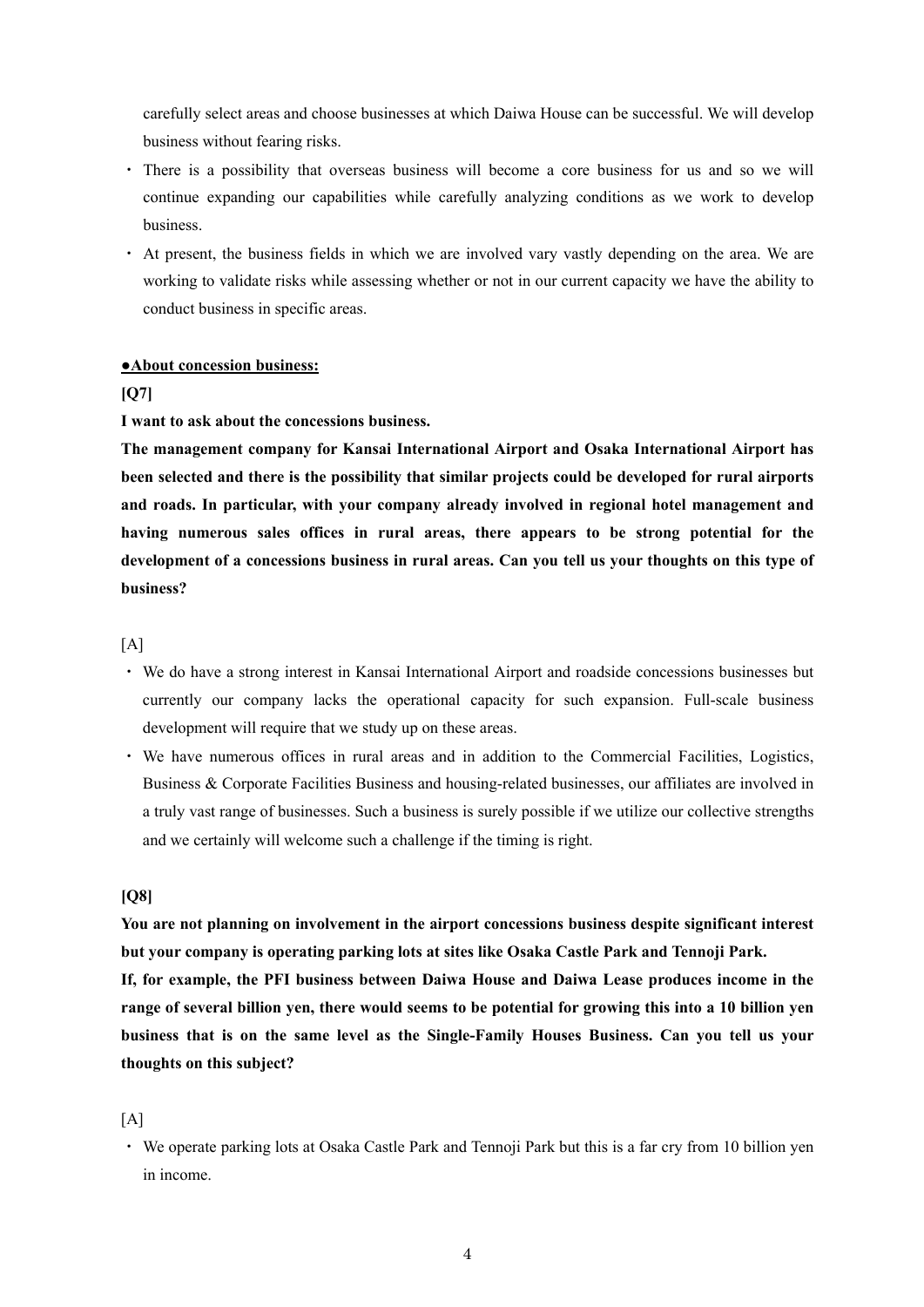carefully select areas and choose businesses at which Daiwa House can be successful. We will develop business without fearing risks.

- ・ There is a possibility that overseas business will become a core business for us and so we will continue expanding our capabilities while carefully analyzing conditions as we work to develop business.
- ・ At present, the business fields in which we are involved vary vastly depending on the area. We are working to validate risks while assessing whether or not in our current capacity we have the ability to conduct business in specific areas.

#### **●About concession business:**

### **[Q7]**

### **I want to ask about the concessions business.**

**The management company for Kansai International Airport and Osaka International Airport has been selected and there is the possibility that similar projects could be developed for rural airports and roads. In particular, with your company already involved in regional hotel management and having numerous sales offices in rural areas, there appears to be strong potential for the development of a concessions business in rural areas. Can you tell us your thoughts on this type of business?** 

#### $[A]$

- ・ We do have a strong interest in Kansai International Airport and roadside concessions businesses but currently our company lacks the operational capacity for such expansion. Full-scale business development will require that we study up on these areas.
- ・ We have numerous offices in rural areas and in addition to the Commercial Facilities, Logistics, Business & Corporate Facilities Business and housing-related businesses, our affiliates are involved in a truly vast range of businesses. Such a business is surely possible if we utilize our collective strengths and we certainly will welcome such a challenge if the timing is right.

#### **[Q8]**

**You are not planning on involvement in the airport concessions business despite significant interest but your company is operating parking lots at sites like Osaka Castle Park and Tennoji Park. If, for example, the PFI business between Daiwa House and Daiwa Lease produces income in the range of several billion yen, there would seems to be potential for growing this into a 10 billion yen business that is on the same level as the Single-Family Houses Business. Can you tell us your thoughts on this subject?** 

#### $[A]$

・ We operate parking lots at Osaka Castle Park and Tennoji Park but this is a far cry from 10 billion yen in income.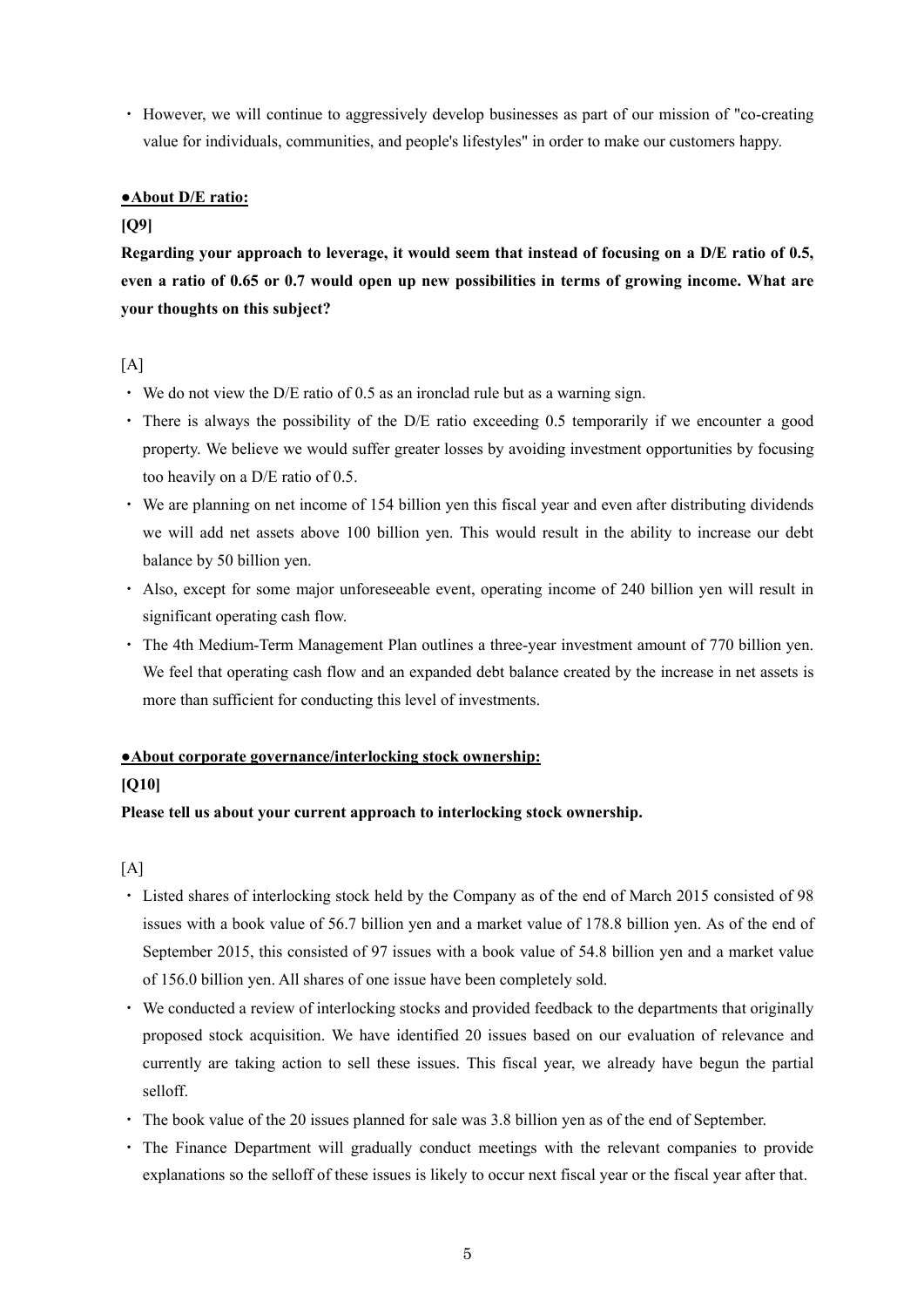・ However, we will continue to aggressively develop businesses as part of our mission of "co-creating value for individuals, communities, and people's lifestyles" in order to make our customers happy.

### **●About D/E ratio:**

### **[Q9]**

**Regarding your approach to leverage, it would seem that instead of focusing on a D/E ratio of 0.5, even a ratio of 0.65 or 0.7 would open up new possibilities in terms of growing income. What are your thoughts on this subject?** 

## $[A]$

- $\cdot$  We do not view the D/E ratio of 0.5 as an ironclad rule but as a warning sign.
- $\cdot$  There is always the possibility of the D/E ratio exceeding 0.5 temporarily if we encounter a good property. We believe we would suffer greater losses by avoiding investment opportunities by focusing too heavily on a D/E ratio of 0.5.
- ・ We are planning on net income of 154 billion yen this fiscal year and even after distributing dividends we will add net assets above 100 billion yen. This would result in the ability to increase our debt balance by 50 billion yen.
- ・ Also, except for some major unforeseeable event, operating income of 240 billion yen will result in significant operating cash flow.
- ・ The 4th Medium-Term Management Plan outlines a three-year investment amount of 770 billion yen. We feel that operating cash flow and an expanded debt balance created by the increase in net assets is more than sufficient for conducting this level of investments.

## **●About corporate governance/interlocking stock ownership:**

### **[Q10]**

# **Please tell us about your current approach to interlocking stock ownership.**

 $[A]$ 

- ・ Listed shares of interlocking stock held by the Company as of the end of March 2015 consisted of 98 issues with a book value of 56.7 billion yen and a market value of 178.8 billion yen. As of the end of September 2015, this consisted of 97 issues with a book value of 54.8 billion yen and a market value of 156.0 billion yen. All shares of one issue have been completely sold.
- ・ We conducted a review of interlocking stocks and provided feedback to the departments that originally proposed stock acquisition. We have identified 20 issues based on our evaluation of relevance and currently are taking action to sell these issues. This fiscal year, we already have begun the partial selloff.
- ・ The book value of the 20 issues planned for sale was 3.8 billion yen as of the end of September.
- ・ The Finance Department will gradually conduct meetings with the relevant companies to provide explanations so the selloff of these issues is likely to occur next fiscal year or the fiscal year after that.